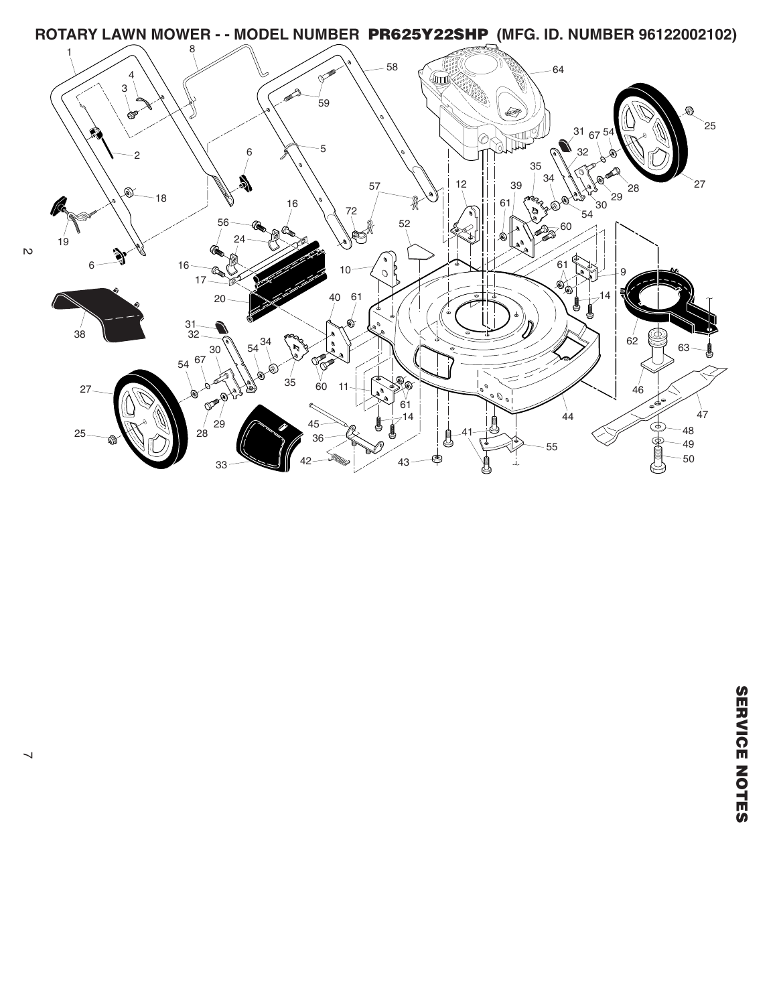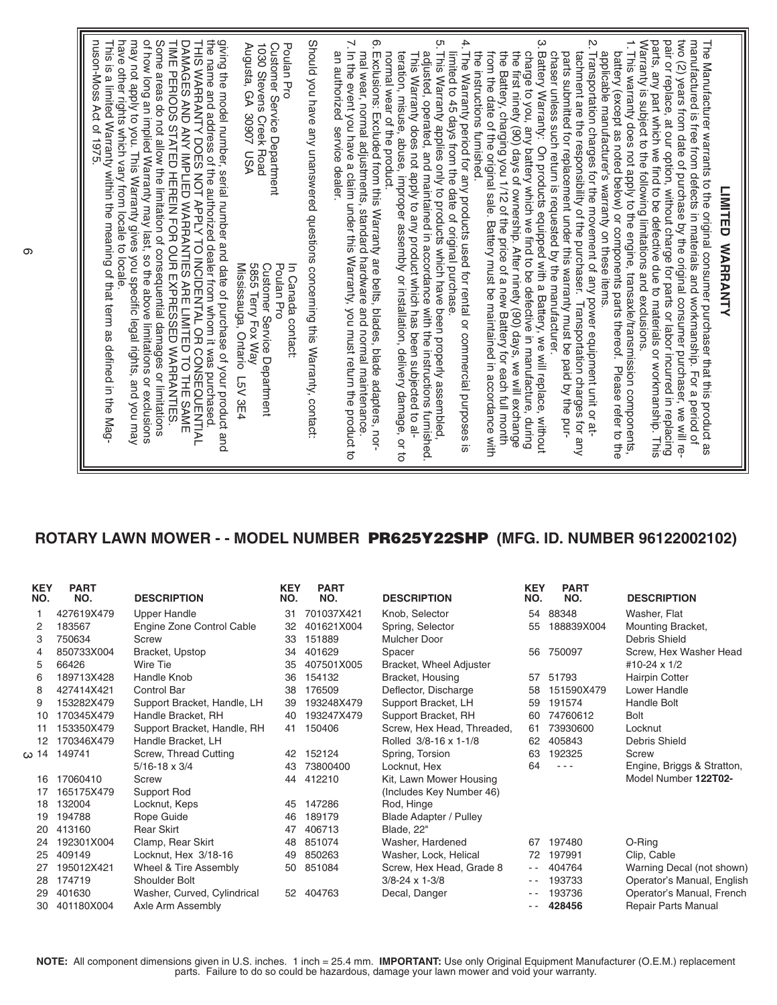## **ROTARY LAWN MOWER - - MODEL NUMBER PR625Y22SHP (MFG. ID. NUMBER 96122002102)**

| <b>KEY</b><br>NO. | <b>PART</b><br>NO. | <b>DESCRIPTION</b>          | <b>KEY</b><br>NO. | <b>PART</b><br>NO. | <b>DESCRIPTION</b>            | <b>KEY</b><br>NO. | <b>PART</b><br>NO. | <b>DESCRIPTION</b>         |
|-------------------|--------------------|-----------------------------|-------------------|--------------------|-------------------------------|-------------------|--------------------|----------------------------|
|                   | 427619X479         | Upper Handle                | 31                | 701037X421         | Knob, Selector                | 54                | 88348              | Washer, Flat               |
| 2                 | 183567             | Engine Zone Control Cable   | 32                | 401621X004         | Spring, Selector              | 55                | 188839X004         | Mounting Bracket,          |
| 3                 | 750634             | Screw                       | 33                | 151889             | Mulcher Door                  |                   |                    | Debris Shield              |
| 4                 | 850733X004         | Bracket, Upstop             | 34                | 401629             | Spacer                        | 56                | 750097             | Screw, Hex Washer Head     |
| 5                 | 66426              | Wire Tie                    | 35                | 407501X005         | Bracket, Wheel Adjuster       |                   |                    | #10-24 $\times$ 1/2        |
| 6                 | 189713X428         | Handle Knob                 | 36                | 154132             | Bracket, Housing              | 57                | 51793              | <b>Hairpin Cotter</b>      |
| 8                 | 427414X421         | Control Bar                 | 38                | 176509             | Deflector, Discharge          | 58                | 151590X479         | Lower Handle               |
| 9                 | 153282X479         | Support Bracket, Handle, LH | 39                | 193248X479         | Support Bracket, LH           | 59                | 191574             | Handle Bolt                |
| 10                | 170345X479         | Handle Bracket, RH          | 40                | 193247X479         | Support Bracket, RH           | 60                | 74760612           | <b>Bolt</b>                |
| 11                | 153350X479         | Support Bracket, Handle, RH | 41                | 150406             | Screw, Hex Head, Threaded,    | 61                | 73930600           | Locknut                    |
| 12                | 170346X479         | Handle Bracket, LH          |                   |                    | Rolled 3/8-16 x 1-1/8         | 62                | 405843             | Debris Shield              |
| 14 ﻣ              | 149741             | Screw, Thread Cutting       | 42                | 152124             | Spring, Torsion               | 63                | 192325             | Screw                      |
|                   |                    | $5/16 - 18 \times 3/4$      | 43                | 73800400           | Locknut, Hex                  | 64                | $- - -$            | Engine, Briggs & Stratton, |
| 16                | 17060410           | Screw                       | 44                | 412210             | Kit, Lawn Mower Housing       |                   |                    | Model Number 122T02-       |
| 17                | 165175X479         | Support Rod                 |                   |                    | (Includes Key Number 46)      |                   |                    |                            |
| 18                | 132004             | Locknut, Keps               | 45                | 147286             | Rod, Hinge                    |                   |                    |                            |
| 19                | 194788             | Rope Guide                  | 46                | 189179             | <b>Blade Adapter / Pulley</b> |                   |                    |                            |
| 20                | 413160             | <b>Rear Skirt</b>           | 47                | 406713             | Blade, 22"                    |                   |                    |                            |
| 24                | 192301X004         | Clamp, Rear Skirt           | 48                | 851074             | Washer, Hardened              | 67                | 197480             | O-Ring                     |
| 25                | 409149             | Locknut, Hex 3/18-16        | 49                | 850263             | Washer, Lock, Helical         | 72                | 197991             | Clip, Cable                |
| 27                | 195012X421         | Wheel & Tire Assembly       | 50                | 851084             | Screw, Hex Head, Grade 8      | $ -$              | 404764             | Warning Decal (not shown)  |
| 28                | 174719             | Shoulder Bolt               |                   |                    | $3/8 - 24 \times 1 - 3/8$     | $ -$              | 193733             | Operator's Manual, English |
| 29                | 401630             | Washer, Curved, Cylindrical | 52                | 404763             | Decal, Danger                 | $- -$             | 193736             | Operator's Manual, French  |
| 30                | 401180X004         | Axle Arm Assembly           |                   |                    |                               | - -               | 428456             | <b>Repair Parts Manual</b> |

**NOTE:** All component dimensions given in U.S. inches. 1 inch = 25.4 mm. **IMPORTANT:** Use only Original Equipment Manufacturer (O.E.M.) replacement parts. Failure to do so could be hazardous, damage your lawn mower and void your warranty.